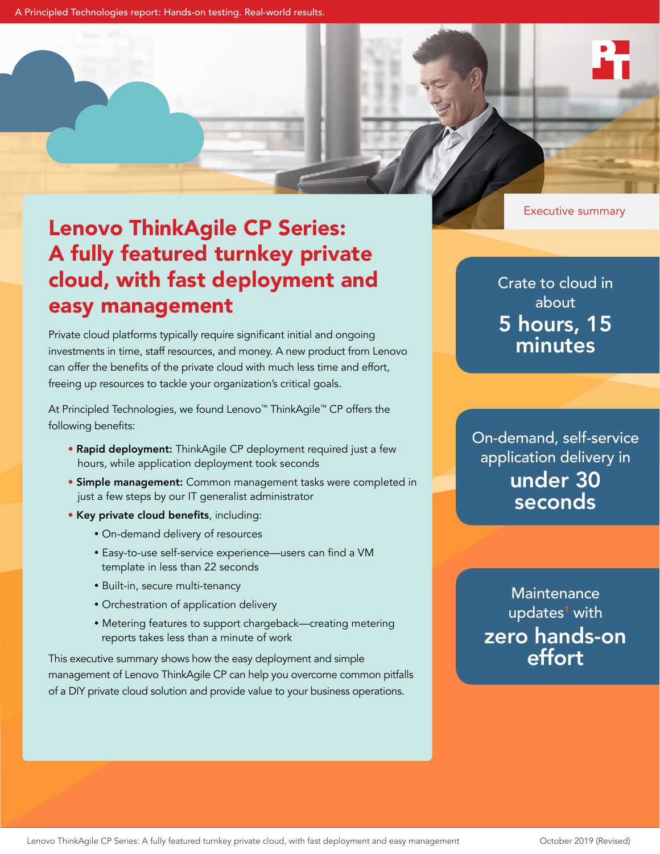Executive summary

# Lenovo ThinkAgile CP Series: A fully featured turnkey private cloud, with fast deployment and easy management

Private cloud platforms typically require significant initial and ongoing investments in time, staff resources, and money. A new product from Lenovo can offer the benefits of the private cloud with much less time and effort, freeing up resources to tackle your organization's critical goals.

At Principled Technologies, we found Lenovo™ ThinkAgile™ CP offers the following benefits:

- Rapid deployment: ThinkAgile CP deployment required just a few hours, while application deployment took seconds
- Simple management: Common management tasks were completed in just a few steps by our IT generalist administrator
- Key private cloud benefits, including:
	- On-demand delivery of resources
	- Easy-to-use self-service experience—users can find a VM template in less than 22 seconds
	- Built-in, secure multi-tenancy
	- Orchestration of application delivery
	- Metering features to support chargeback—creating metering reports takes less than a minute of work

This executive summary shows how the easy deployment and simple management of Lenovo ThinkAgile CP can help you overcome common pitfalls of a DIY private cloud solution and provide value to your business operations.

Crate to cloud in about 5 hours, 15 minutes

On-demand, self-service application delivery in under 30 seconds

**Maintenance** updates<sup>[1](#page-1-0)</sup> with zero hands-on effort